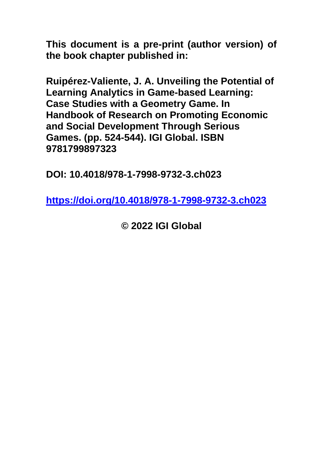**This document is a pre-print (author version) of the book chapter published in:**

**Ruipérez-Valiente, J. A. Unveiling the Potential of Learning Analytics in Game-based Learning: Case Studies with a Geometry Game. In Handbook of Research on Promoting Economic and Social Development Through Serious Games. (pp. 524-544). IGI Global. ISBN 9781799897323**

**DOI: 10.4018/978-1-7998-9732-3.ch023**

**<https://doi.org/10.4018/978-1-7998-9732-3.ch023>**

**© 2022 IGI Global**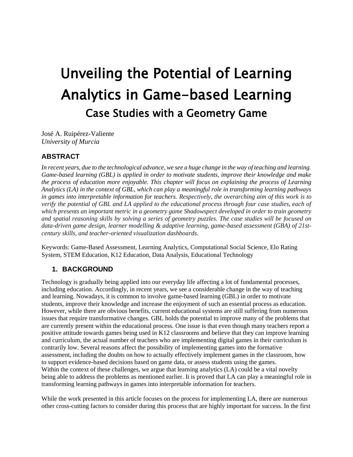# Unveiling the Potential of Learning Analytics in Game-based Learning Case Studies with a Geometry Game

José A. Ruipérez-Valiente *University of Murcia*

### **ABSTRACT**

*In recent years, due to the technological advance, we see a huge change in the way of teaching and learning. Game-based learning (GBL) is applied in order to motivate students, improve their knowledge and make the process of education more enjoyable. This chapter will focus on explaining the process of Learning Analytics (LA) in the context of GBL, which can play a meaningful role in transforming learning pathways in games into interpretable information for teachers. Respectively, the overarching aim of this work is to verify the potential of GBL and LA applied to the educational process through four case studies, each of which presents an important metric in a geometry game Shadowspect developed in order to train geometry and spatial reasoning skills by solving a series of geometry puzzles. The case studies will be focused on data-driven game design, learner modelling & adaptive learning, game-based assessment (GBA) of 21stcentury skills, and teacher-oriented visualization dashboards.*

Keywords: Game-Based Assessment, Learning Analytics, Computational Social Science, Elo Rating System, STEM Education, K12 Education, Data Analysis, Educational Technology

#### **1. BACKGROUND**

Technology is gradually being applied into our everyday life affecting a lot of fundamental processes, including education. Accordingly, in recent years, we see a considerable change in the way of teaching and learning. Nowadays, it is common to involve game-based learning (GBL) in order to motivate students, improve their knowledge and increase the enjoyment of such an essential process as education. However, while there are obvious benefits, current educational systems are still suffering from numerous issues that require transformative changes. GBL holds the potential to improve many of the problems that are currently present within the educational process. One issue is that even though many teachers report a positive attitude towards games being used in K12 classrooms and believe that they can improve learning and curriculum, the actual number of teachers who are implementing digital games in their curriculum is contrarily low. Several reasons affect the possibility of implementing games into the formative assessment, including the doubts on how to actually effectively implement games in the classroom, how to support evidence-based decisions based on game data, or assess students using the games. Within the context of these challenges, we argue that learning analytics (LA) could be a vital novelty being able to address the problems as mentioned earlier. It is proved that LA can play a meaningful role in transforming learning pathways in games into interpretable information for teachers.

While the work presented in this article focuses on the process for implementing LA, there are numerous other cross-cutting factors to consider during this process that are highly important for success. In the first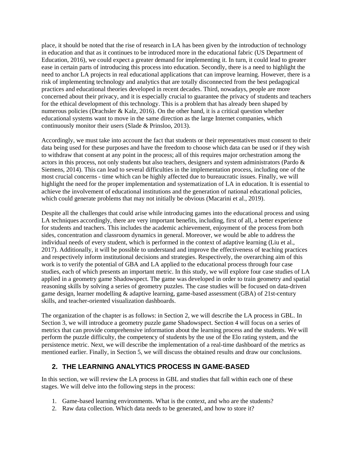place, it should be noted that the rise of research in LA has been given by the introduction of technology in education and that as it continues to be introduced more in the educational fabric (US Department of Education, 2016), we could expect a greater demand for implementing it. In turn, it could lead to greater ease in certain parts of introducing this process into education. Secondly, there is a need to highlight the need to anchor LA projects in real educational applications that can improve learning. However, there is a risk of implementing technology and analytics that are totally disconnected from the best pedagogical practices and educational theories developed in recent decades. Third, nowadays, people are more concerned about their privacy, and it is especially crucial to guarantee the privacy of students and teachers for the ethical development of this technology. This is a problem that has already been shaped by numerous policies (Drachsler & Kalz, 2016). On the other hand, it is a critical question whether educational systems want to move in the same direction as the large Internet companies, which continuously monitor their users (Slade & Prinsloo, 2013).

Accordingly, we must take into account the fact that students or their representatives must consent to their data being used for these purposes and have the freedom to choose which data can be used or if they wish to withdraw that consent at any point in the process; all of this requires major orchestration among the actors in this process, not only students but also teachers, designers and system administrators (Pardo & Siemens, 2014). This can lead to several difficulties in the implementation process, including one of the most crucial concerns - time which can be highly affected due to bureaucratic issues. Finally, we will highlight the need for the proper implementation and systematization of LA in education. It is essential to achieve the involvement of educational institutions and the generation of national educational policies, which could generate problems that may not initially be obvious (Macarini et al., 2019).

Despite all the challenges that could arise while introducing games into the educational process and using LA techniques accordingly, there are very important benefits, including, first of all, a better experience for students and teachers. This includes the academic achievement, enjoyment of the process from both sides, concentration and classroom dynamics in general. Moreover, we would be able to address the individual needs of every student, which is performed in the context of adaptive learning (Liu et al., 2017). Additionally, it will be possible to understand and improve the effectiveness of teaching practices and respectively inform institutional decisions and strategies. Respectively, the overarching aim of this work is to verify the potential of GBA and LA applied to the educational process through four case studies, each of which presents an important metric. In this study, we will explore four case studies of LA applied in a geometry game Shadowspect. The game was developed in order to train geometry and spatial reasoning skills by solving a series of geometry puzzles. The case studies will be focused on data-driven game design, learner modelling & adaptive learning, game-based assessment (GBA) of 21st-century skills, and teacher-oriented visualization dashboards.

The organization of the chapter is as follows: in Section 2, we will describe the LA process in GBL. In Section 3, we will introduce a geometry puzzle game Shadowspect. Section 4 will focus on a series of metrics that can provide comprehensive information about the learning process and the students. We will perform the puzzle difficulty, the competency of students by the use of the Elo rating system, and the persistence metric. Next, we will describe the implementation of a real-time dashboard of the metrics as mentioned earlier. Finally, in Section 5, we will discuss the obtained results and draw our conclusions.

# **2. THE LEARNING ANALYTICS PROCESS IN GAME-BASED**

In this section, we will review the LA process in GBL and studies that fall within each one of these stages. We will delve into the following steps in the process:

- 1. Game-based learning environments. What is the context, and who are the students?
- 2. Raw data collection. Which data needs to be generated, and how to store it?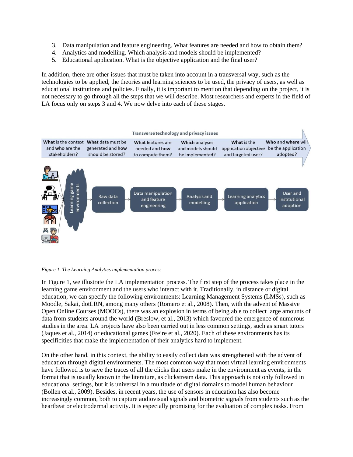- 3. Data manipulation and feature engineering. What features are needed and how to obtain them?
- 4. Analytics and modelling. Which analysis and models should be implemented?
- 5. Educational application. What is the objective application and the final user?

In addition, there are other issues that must be taken into account in a transversal way, such as the technologies to be applied, the theories and learning sciences to be used, the privacy of users, as well as educational institutions and policies. Finally, it is important to mention that depending on the project, it is not necessary to go through all the steps that we will describe. Most researchers and experts in the field of LA focus only on steps 3 and 4. We now delve into each of these stages.



*Figure 1. The Learning Analytics implementation process* 

In Figure 1, we illustrate the LA implementation process. The first step of the process takes place in the learning game environment and the users who interact with it. Traditionally, in distance or digital education, we can specify the following environments: Learning Management Systems (LMSs), such as Moodle, Sakai, dotLRN, among many others (Romero et al., 2008). Then, with the advent of Massive Open Online Courses (MOOCs), there was an explosion in terms of being able to collect large amounts of data from students around the world (Breslow, et al., 2013) which favoured the emergence of numerous studies in the area. LA projects have also been carried out in less common settings, such as smart tutors (Jaques et al., 2014) or educational games (Freire et al., 2020). Each of these environments has its specificities that make the implementation of their analytics hard to implement.

On the other hand, in this context, the ability to easily collect data was strengthened with the advent of education through digital environments. The most common way that most virtual learning environments have followed is to save the traces of all the clicks that users make in the environment as events, in the format that is usually known in the literature, as clickstream data. This approach is not only followed in educational settings, but it is universal in a multitude of digital domains to model human behaviour (Bollen et al., 2009). Besides, in recent years, the use of sensors in education has also become increasingly common, both to capture audiovisual signals and biometric signals from students such as the heartbeat or electrodermal activity. It is especially promising for the evaluation of complex tasks. From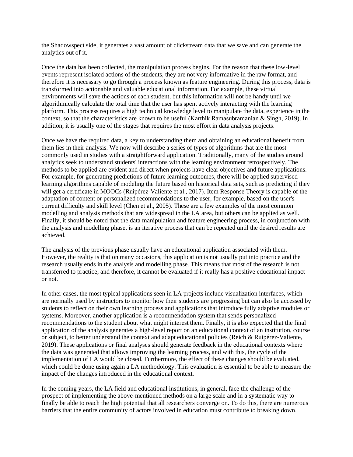the Shadowspect side, it generates a vast amount of clickstream data that we save and can generate the analytics out of it.

Once the data has been collected, the manipulation process begins. For the reason that these low-level events represent isolated actions of the students, they are not very informative in the raw format, and therefore it is necessary to go through a process known as feature engineering. During this process, data is transformed into actionable and valuable educational information. For example, these virtual environments will save the actions of each student, but this information will not be handy until we algorithmically calculate the total time that the user has spent actively interacting with the learning platform. This process requires a high technical knowledge level to manipulate the data, experience in the context, so that the characteristics are known to be useful (Karthik Ramasubramanian & Singh, 2019). In addition, it is usually one of the stages that requires the most effort in data analysis projects.

Once we have the required data, a key to understanding them and obtaining an educational benefit from them lies in their analysis. We now will describe a series of types of algorithms that are the most commonly used in studies with a straightforward application. Traditionally, many of the studies around analytics seek to understand students' interactions with the learning environment retrospectively. The methods to be applied are evident and direct when projects have clear objectives and future applications. For example, for generating predictions of future learning outcomes, there will be applied supervised learning algorithms capable of modeling the future based on historical data sets, such as predicting if they will get a certificate in MOOCs (Ruipérez-Valiente et al., 2017). Item Response Theory is capable of the adaptation of content or personalized recommendations to the user, for example, based on the user's current difficulty and skill level (Chen et al., 2005). These are a few examples of the most common modelling and analysis methods that are widespread in the LA area, but others can be applied as well. Finally, it should be noted that the data manipulation and feature engineering process, in conjunction with the analysis and modelling phase, is an iterative process that can be repeated until the desired results are achieved.

The analysis of the previous phase usually have an educational application associated with them. However, the reality is that on many occasions, this application is not usually put into practice and the research usually ends in the analysis and modelling phase. This means that most of the research is not transferred to practice, and therefore, it cannot be evaluated if it really has a positive educational impact or not.

In other cases, the most typical applications seen in LA projects include visualization interfaces, which are normally used by instructors to monitor how their students are progressing but can also be accessed by students to reflect on their own learning process and applications that introduce fully adaptive modules or systems. Moreover, another application is a recommendation system that sends personalized recommendations to the student about what might interest them. Finally, it is also expected that the final application of the analysis generates a high-level report on an educational context of an institution, course or subject, to better understand the context and adapt educational policies (Reich & Ruipérez-Valiente, 2019). These applications or final analyses should generate feedback in the educational contexts where the data was generated that allows improving the learning process, and with this, the cycle of the implementation of LA would be closed. Furthermore, the effect of these changes should be evaluated, which could be done using again a LA methodology. This evaluation is essential to be able to measure the impact of the changes introduced in the educational context.

In the coming years, the LA field and educational institutions, in general, face the challenge of the prospect of implementing the above-mentioned methods on a large scale and in a systematic way to finally be able to reach the high potential that all researchers converge on. To do this, there are numerous barriers that the entire community of actors involved in education must contribute to breaking down.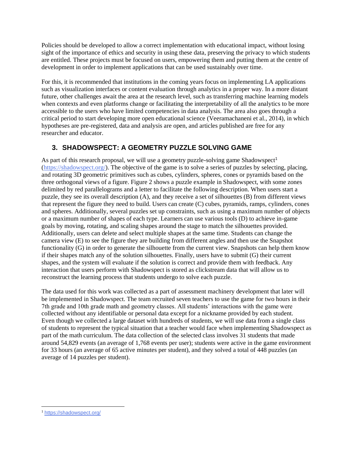Policies should be developed to allow a correct implementation with educational impact, without losing sight of the importance of ethics and security in using these data, preserving the privacy to which students are entitled. These projects must be focused on users, empowering them and putting them at the centre of development in order to implement applications that can be used sustainably over time.

For this, it is recommended that institutions in the coming years focus on implementing LA applications such as visualization interfaces or content evaluation through analytics in a proper way. In a more distant future, other challenges await the area at the research level, such as transferring machine learning models when contexts and even platforms change or facilitating the interpretability of all the analytics to be more accessible to the users who have limited competencies in data analysis. The area also goes through a critical period to start developing more open educational science (Veeramachaneni et al., 2014), in which hypotheses are pre-registered, data and analysis are open, and articles published are free for any researcher and educator.

# **3. SHADOWSPECT: A GEOMETRY PUZZLE SOLVING GAME**

As part of this research proposal, we will use a geometry puzzle-solving game Shadowspect<sup>1</sup> [\(https://shadowspect.org/\)](https://shadowspect.org/). The objective of the game is to solve a series of puzzles by selecting, placing, and rotating 3D geometric primitives such as cubes, cylinders, spheres, cones or pyramids based on the three orthogonal views of a figure. Figure 2 shows a puzzle example in Shadowspect, with some zones delimited by red parallelograms and a letter to facilitate the following description. When users start a puzzle, they see its overall description (A), and they receive a set of silhouettes (B) from different views that represent the figure they need to build. Users can create (C) cubes, pyramids, ramps, cylinders, cones and spheres. Additionally, several puzzles set up constraints, such as using a maximum number of objects or a maximum number of shapes of each type. Learners can use various tools (D) to achieve in-game goals by moving, rotating, and scaling shapes around the stage to match the silhouettes provided. Additionally, users can delete and select multiple shapes at the same time. Students can change the camera view (E) to see the figure they are building from different angles and then use the Snapshot functionality (G) in order to generate the silhouette from the current view. Snapshots can help them know if their shapes match any of the solution silhouettes. Finally, users have to submit (G) their current shapes, and the system will evaluate if the solution is correct and provide them with feedback. Any interaction that users perform with Shadowspect is stored as clickstream data that will allow us to reconstruct the learning process that students undergo to solve each puzzle.

The data used for this work was collected as a part of assessment machinery development that later will be implemented in Shadowspect. The team recruited seven teachers to use the game for two hours in their 7th grade and 10th grade math and geometry classes. All students' interactions with the game were collected without any identifiable or personal data except for a nickname provided by each student. Even though we collected a large dataset with hundreds of students, we will use data from a single class of students to represent the typical situation that a teacher would face when implementing Shadowspect as part of the math curriculum. The data collection of the selected class involves 31 students that made around 54,829 events (an average of 1,768 events per user); students were active in the game environment for 33 hours (an average of 65 active minutes per student), and they solved a total of 448 puzzles (an average of 14 puzzles per student).

<sup>1</sup> <https://shadowspect.org/>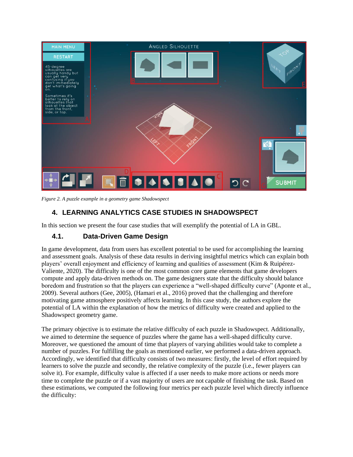

*Figure 2. A puzzle example in a geometry game Shadowspect*

# **4. LEARNING ANALYTICS CASE STUDIES IN SHADOWSPECT**

In this section we present the four case studies that will exemplify the potential of LA in GBL.

# **4.1. Data-Driven Game Design**

In game development, data from users has excellent potential to be used for accomplishing the learning and assessment goals. Analysis of these data results in deriving insightful metrics which can explain both players' overall enjoyment and efficiency of learning and qualities of assessment (Kim & Ruipérez-Valiente, 2020). The difficulty is one of the most common core game elements that game developers compute and apply data-driven methods on. The game designers state that the difficulty should balance boredom and frustration so that the players can experience a "well-shaped difficulty curve" (Aponte et al., 2009). Several authors (Gee, 2005), (Hamari et al., 2016) proved that the challenging and therefore motivating game atmosphere positively affects learning. In this case study, the authors explore the potential of LA within the explanation of how the metrics of difficulty were created and applied to the Shadowspect geometry game.

The primary objective is to estimate the relative difficulty of each puzzle in Shadowspect. Additionally, we aimed to determine the sequence of puzzles where the game has a well-shaped difficulty curve. Moreover, we questioned the amount of time that players of varying abilities would take to complete a number of puzzles. For fulfilling the goals as mentioned earlier, we performed a data-driven approach. Accordingly, we identified that difficulty consists of two measures: firstly, the level of effort required by learners to solve the puzzle and secondly, the relative complexity of the puzzle (i.e., fewer players can solve it). For example, difficulty value is affected if a user needs to make more actions or needs more time to complete the puzzle or if a vast majority of users are not capable of finishing the task. Based on these estimations, we computed the following four metrics per each puzzle level which directly influence the difficulty: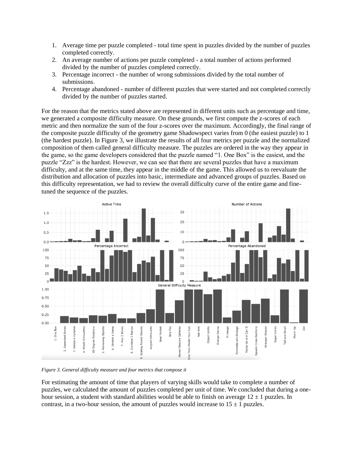- 1. Average time per puzzle completed total time spent in puzzles divided by the number of puzzles completed correctly.
- 2. An average number of actions per puzzle completed a total number of actions performed divided by the number of puzzles completed correctly.
- 3. Percentage incorrect the number of wrong submissions divided by the total number of submissions.
- 4. Percentage abandoned number of different puzzles that were started and not completed correctly divided by the number of puzzles started.

For the reason that the metrics stated above are represented in different units such as percentage and time, we generated a composite difficulty measure. On these grounds, we first compute the z-scores of each metric and then normalize the sum of the four z-scores over the maximum. Accordingly, the final range of the composite puzzle difficulty of the geometry game Shadowspect varies from 0 (the easiest puzzle) to 1 (the hardest puzzle). In Figure 3, we illustrate the results of all four metrics per puzzle and the normalized composition of them called general difficulty measure. The puzzles are ordered in the way they appear in the game, so the game developers considered that the puzzle named "1. One Box" is the easiest, and the puzzle "Zzz" is the hardest. However, we can see that there are several puzzles that have a maximum difficulty, and at the same time, they appear in the middle of the game. This allowed us to reevaluate the distribution and allocation of puzzles into basic, intermediate and advanced groups of puzzles. Based on this difficulty representation, we had to review the overall difficulty curve of the entire game and finetuned the sequence of the puzzles.



*Figure 3. General difficulty measure and four metrics that compose it*

For estimating the amount of time that players of varying skills would take to complete a number of puzzles, we calculated the amount of puzzles completed per unit of time. We concluded that during a onehour session, a student with standard abilities would be able to finish on average  $12 \pm 1$  puzzles. In contrast, in a two-hour session, the amount of puzzles would increase to  $15 \pm 1$  puzzles.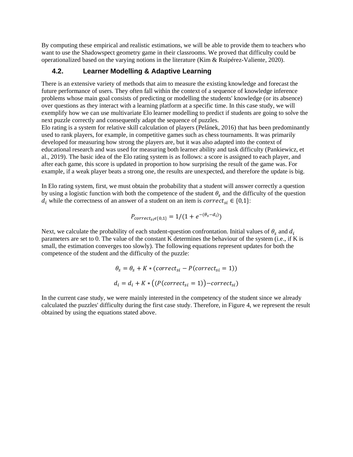By computing these empirical and realistic estimations, we will be able to provide them to teachers who want to use the Shadowspect geometry game in their classrooms. We proved that difficulty could be operationalized based on the varying notions in the literature (Kim & Ruipérez-Valiente, 2020).

#### **4.2. Learner Modelling & Adaptive Learning**

There is an extensive variety of methods that aim to measure the existing knowledge and forecast the future performance of users. They often fall within the context of a sequence of knowledge inference problems whose main goal consists of predicting or modelling the students' knowledge (or its absence) over questions as they interact with a learning platform at a specific time. In this case study, we will exemplify how we can use multivariate Elo learner modelling to predict if students are going to solve the next puzzle correctly and consequently adapt the sequence of puzzles.

Elo rating is a system for relative skill calculation of players (Pelánek, 2016) that has been predominantly used to rank players, for example, in competitive games such as chess tournaments. It was primarily developed for measuring how strong the players are, but it was also adapted into the context of educational research and was used for measuring both learner ability and task difficulty (Pankiewicz, et al., 2019). The basic idea of the Elo rating system is as follows: a score is assigned to each player, and after each game, this score is updated in proportion to how surprising the result of the game was. For example, if a weak player beats a strong one, the results are unexpected, and therefore the update is big.

In Elo rating system, first, we must obtain the probability that a student will answer correctly a question by using a logistic function with both the competence of the student  $\theta_s$  and the difficulty of the question  $d_i$  while the correctness of an answer of a student on an item is  $correct_{si} \in \{0,1\}$ :

$$
P_{correct_{si}\in\{0,1\}}=1/(1+e^{-(\theta_s-d_i)})
$$

Next, we calculate the probability of each student-question confrontation. Initial values of  $\theta_s$  and  $d_i$ parameters are set to 0. The value of the constant K determines the behaviour of the system (i.e., if K is small, the estimation converges too slowly). The following equations represent updates for both the competence of the student and the difficulty of the puzzle:

$$
\theta_s = \theta_s + K * (correct_{si} - P(correct_{si} = 1))
$$

$$
d_i = d_i + K * ((P(correct_{si} = 1)) - correct_{si})
$$

In the current case study, we were mainly interested in the competency of the student since we already calculated the puzzles' difficulty during the first case study. Therefore, in Figure 4, we represent the result obtained by using the equations stated above.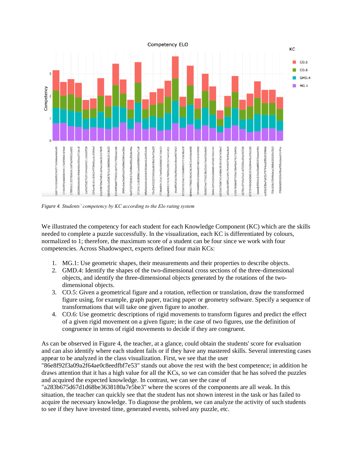

*Figure 4. Students' competency by KC according to the Elo rating system*

We illustrated the competency for each student for each Knowledge Component (KC) which are the skills needed to complete a puzzle successfully. In the visualization, each KC is differentiated by colours, normalized to 1; therefore, the maximum score of a student can be four since we work with four competencies. Across Shadowspect, experts defined four main KCs:

- 1. MG.1: Use geometric shapes, their measurements and their properties to describe objects.
- 2. GMD.4: Identify the shapes of the two-dimensional cross sections of the three-dimensional objects, and identify the three-dimensional objects generated by the rotations of the twodimensional objects.
- 3. CO.5: Given a geometrical figure and a rotation, reflection or translation, draw the transformed figure using, for example, graph paper, tracing paper or geometry software. Specify a sequence of transformations that will take one given figure to another.
- 4. CO.6: Use geometric descriptions of rigid movements to transform figures and predict the effect of a given rigid movement on a given figure; in the case of two figures, use the definition of congruence in terms of rigid movements to decide if they are congruent.

As can be observed in Figure 4, the teacher, at a glance, could obtain the students' score for evaluation and can also identify where each student fails or if they have any mastered skills. Several interesting cases appear to be analyzed in the class visualization. First, we see that the user

"86e8f92f3a09a2f64ae0c8eedfbf7e53" stands out above the rest with the best competence; in addition he draws attention that it has a high value for all the KCs, so we can consider that he has solved the puzzles and acquired the expected knowledge. In contrast, we can see the case of

"a283b675d67d1d68be3638180a7e5be3" where the scores of the components are all weak. In this situation, the teacher can quickly see that the student has not shown interest in the task or has failed to acquire the necessary knowledge. To diagnose the problem, we can analyze the activity of such students to see if they have invested time, generated events, solved any puzzle, etc.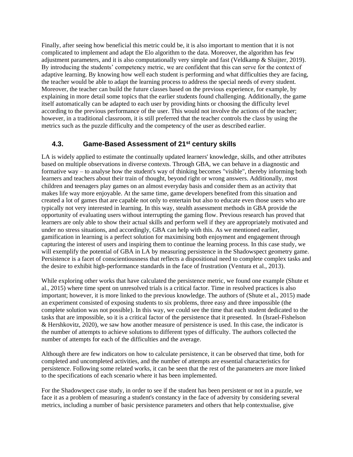Finally, after seeing how beneficial this metric could be, it is also important to mention that it is not complicated to implement and adapt the Elo algorithm to the data. Moreover, the algorithm has few adjustment parameters, and it is also computationally very simple and fast (Veldkamp & Sluijter, 2019). By introducing the students' competency metric, we are confident that this can serve for the context of adaptive learning. By knowing how well each student is performing and what difficulties they are facing, the teacher would be able to adapt the learning process to address the special needs of every student. Moreover, the teacher can build the future classes based on the previous experience, for example, by explaining in more detail some topics that the earlier students found challenging. Additionally, the game itself automatically can be adapted to each user by providing hints or choosing the difficulty level according to the previous performance of the user. This would not involve the actions of the teacher; however, in a traditional classroom, it is still preferred that the teacher controls the class by using the metrics such as the puzzle difficulty and the competency of the user as described earlier.

#### **4.3. Game-Based Assessment of 21st century skills**

LA is widely applied to estimate the continually updated learners' knowledge, skills, and other attributes based on multiple observations in diverse contexts. Through GBA, we can behave in a diagnostic and formative way – to analyse how the student's way of thinking becomes "visible", thereby informing both learners and teachers about their train of thought, beyond right or wrong answers. Additionally, most children and teenagers play games on an almost everyday basis and consider them as an activity that makes life way more enjoyable. At the same time, game developers benefited from this situation and created a lot of games that are capable not only to entertain but also to educate even those users who are typically not very interested in learning. In this way, stealth assessment methods in GBA provide the opportunity of evaluating users without interrupting the gaming flow. Previous research has proved that learners are only able to show their actual skills and perform well if they are appropriately motivated and under no stress situations, and accordingly, GBA can help with this. As we mentioned earlier, gamification in learning is a perfect solution for maximising both enjoyment and engagement through capturing the interest of users and inspiring them to continue the learning process. In this case study, we will exemplify the potential of GBA in LA by measuring persistence in the Shadowspect geometry game. Persistence is a facet of conscientiousness that reflects a dispositional need to complete complex tasks and the desire to exhibit high-performance standards in the face of frustration (Ventura et al., 2013).

While exploring other works that have calculated the persistence metric, we found one example (Shute et al., 2015) where time spent on unresolved trials is a critical factor. Time in resolved practices is also important; however, it is more linked to the previous knowledge. The authors of (Shute et al., 2015) made an experiment consisted of exposing students to six problems, three easy and three impossible (the complete solution was not possible). In this way, we could see the time that each student dedicated to the tasks that are impossible, so it is a critical factor of the persistence that it presented. In (Israel-Fishelson & Hershkovitz, 2020), we saw how another measure of persistence is used. In this case, the indicator is the number of attempts to achieve solutions to different types of difficulty. The authors collected the number of attempts for each of the difficulties and the average.

Although there are few indicators on how to calculate persistence, it can be observed that time, both for completed and uncompleted activities, and the number of attempts are essential characteristics for persistence. Following some related works, it can be seen that the rest of the parameters are more linked to the specifications of each scenario where it has been implemented.

For the Shadowspect case study, in order to see if the student has been persistent or not in a puzzle, we face it as a problem of measuring a student's constancy in the face of adversity by considering several metrics, including a number of basic persistence parameters and others that help contextualise, give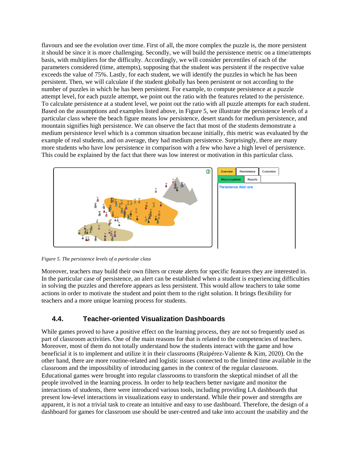flavours and see the evolution over time. First of all, the more complex the puzzle is, the more persistent it should be since it is more challenging. Secondly, we will build the persistence metric on a time/attempts basis, with multipliers for the difficulty. Accordingly, we will consider percentiles of each of the parameters considered (time, attempts), supposing that the student was persistent if the respective value exceeds the value of 75%. Lastly, for each student, we will identify the puzzles in which he has been persistent. Then, we will calculate if the student globally has been persistent or not according to the number of puzzles in which he has been persistent. For example, to compute persistence at a puzzle attempt level, for each puzzle attempt, we point out the ratio with the features related to the persistence. To calculate persistence at a student level, we point out the ratio with all puzzle attempts for each student. Based on the assumptions and examples listed above, in Figure 5, we illustrate the persistence levels of a particular class where the beach figure means low persistence, desert stands for medium persistence, and mountain signifies high persistence. We can observe the fact that most of the students demonstrate a medium persistence level which is a common situation because initially, this metric was evaluated by the example of real students, and on average, they had medium persistence. Surprisingly, there are many more students who have low persistence in comparison with a few who have a high level of persistence. This could be explained by the fact that there was low interest or motivation in this particular class.



*Figure 5. The persistence levels of a particular class*

Moreover, teachers may build their own filters or create alerts for specific features they are interested in. In the particular case of persistence, an alert can be established when a student is experiencing difficulties in solving the puzzles and therefore appears as less persistent. This would allow teachers to take some actions in order to motivate the student and point them to the right solution. It brings flexibility for teachers and a more unique learning process for students.

# **4.4. Teacher-oriented Visualization Dashboards**

While games proved to have a positive effect on the learning process, they are not so frequently used as part of classroom activities. One of the main reasons for that is related to the competencies of teachers. Moreover, most of them do not totally understand how the students interact with the game and how beneficial it is to implement and utilize it in their classrooms (Ruipérez-Valiente & Kim, 2020). On the other hand, there are more routine-related and logistic issues connected to the limited time available in the classroom and the impossibility of introducing games in the context of the regular classroom. Educational games were brought into regular classrooms to transform the skeptical mindset of all the people involved in the learning process. In order to help teachers better navigate and monitor the interactions of students, there were introduced various tools, including providing LA dashboards that present low-level interactions in visualizations easy to understand. While their power and strengths are apparent, it is not a trivial task to create an intuitive and easy to use dashboard. Therefore, the design of a dashboard for games for classroom use should be user-centred and take into account the usability and the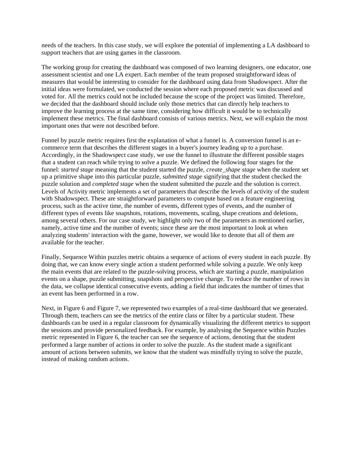needs of the teachers. In this case study, we will explore the potential of implementing a LA dashboard to support teachers that are using games in the classroom.

The working group for creating the dashboard was composed of two learning designers, one educator, one assessment scientist and one LA expert. Each member of the team proposed straightforward ideas of measures that would be interesting to consider for the dashboard using data from Shadowspect. After the initial ideas were formulated, we conducted the session where each proposed metric was discussed and voted for. All the metrics could not be included because the scope of the project was limited. Therefore, we decided that the dashboard should include only those metrics that can directly help teachers to improve the learning process at the same time, considering how difficult it would be to technically implement these metrics. The final dashboard consists of various metrics. Next, we will explain the most important ones that were not described before.

Funnel by puzzle metric requires first the explanation of what a funnel is. A conversion funnel is an ecommerce term that describes the different stages in a buyer's journey leading up to a purchase. Accordingly, in the Shadowspect case study, we use the funnel to illustrate the different possible stages that a student can reach while trying to solve a puzzle. We defined the following four stages for the funnel: *started stage* meaning that the student started the puzzle, *create\_shape stage* when the student set up a primitive shape into this particular puzzle, *submitted stage* signifying that the student checked the puzzle solution and *completed stage* when the student submitted the puzzle and the solution is correct. Levels of Activity metric implements a set of parameters that describe the levels of activity of the student with Shadowspect. These are straightforward parameters to compute based on a feature engineering process, such as the active time, the number of events, different types of events, and the number of different types of events like snapshots, rotations, movements, scaling, shape creations and deletions, among several others. For our case study, we highlight only two of the parameters as mentioned earlier, namely, active time and the number of events; since these are the most important to look at when analyzing students' interaction with the game, however, we would like to denote that all of them are available for the teacher.

Finally, Sequence Within puzzles metric obtains a sequence of actions of every student in each puzzle. By doing that, we can know every single action a student performed while solving a puzzle. We only keep the main events that are related to the puzzle-solving process, which are starting a puzzle, manipulation events on a shape, puzzle submitting, snapshots and perspective change. To reduce the number of rows in the data, we collapse identical consecutive events, adding a field that indicates the number of times that an event has been performed in a row.

Next, in Figure 6 and Figure 7, we represented two examples of a real-time dashboard that we generated. Through them, teachers can see the metrics of the entire class or filter by a particular student. These dashboards can be used in a regular classroom for dynamically visualizing the different metrics to support the sessions and provide personalized feedback. For example, by analysing the Sequence within Puzzles metric represented in Figure 6, the teacher can see the sequence of actions, denoting that the student performed a large number of actions in order to solve the puzzle. As the student made a significant amount of actions between submits, we know that the student was mindfully trying to solve the puzzle, instead of making random actions.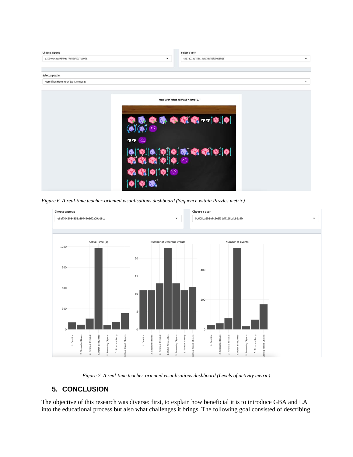

*Figure 6. A real-time teacher-oriented visualisations dashboard (Sequence within Puzzles metric)*



*Figure 7. A real-time teacher-oriented visualisations dashboard (Levels of activity metric)*

# **5. CONCLUSION**

The objective of this research was diverse: first, to explain how beneficial it is to introduce GBA and LA into the educational process but also what challenges it brings. The following goal consisted of describing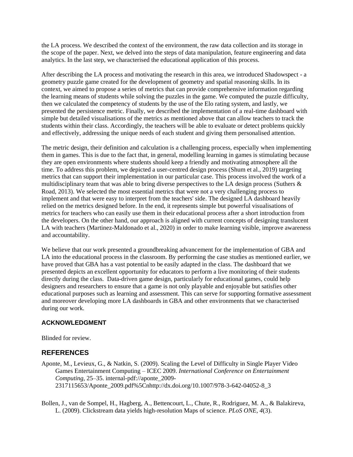the LA process. We described the context of the environment, the raw data collection and its storage in the scope of the paper. Next, we delved into the steps of data manipulation, feature engineering and data analytics. In the last step, we characterised the educational application of this process.

After describing the LA process and motivating the research in this area, we introduced Shadowspect - a geometry puzzle game created for the development of geometry and spatial reasoning skills. In its context, we aimed to propose a series of metrics that can provide comprehensive information regarding the learning means of students while solving the puzzles in the game. We computed the puzzle difficulty, then we calculated the competency of students by the use of the Elo rating system, and lastly, we presented the persistence metric. Finally, we described the implementation of a real-time dashboard with simple but detailed visualisations of the metrics as mentioned above that can allow teachers to track the students within their class. Accordingly, the teachers will be able to evaluate or detect problems quickly and effectively, addressing the unique needs of each student and giving them personalised attention.

The metric design, their definition and calculation is a challenging process, especially when implementing them in games. This is due to the fact that, in general, modelling learning in games is stimulating because they are open environments where students should keep a friendly and motivating atmosphere all the time. To address this problem, we depicted a user-centred design process (Shum et al., 2019) targeting metrics that can support their implementation in our particular case. This process involved the work of a multidisciplinary team that was able to bring diverse perspectives to the LA design process (Suthers  $\&$ Road, 2013). We selected the most essential metrics that were not a very challenging process to implement and that were easy to interpret from the teachers' side. The designed LA dashboard heavily relied on the metrics designed before. In the end, it represents simple but powerful visualisations of metrics for teachers who can easily use them in their educational process after a short introduction from the developers. On the other hand, our approach is aligned with current concepts of designing translucent LA with teachers (Martinez-Maldonado et al., 2020) in order to make learning visible, improve awareness and accountability.

We believe that our work presented a groundbreaking advancement for the implementation of GBA and LA into the educational process in the classroom. By performing the case studies as mentioned earlier, we have proved that GBA has a vast potential to be easily adapted in the class. The dashboard that we presented depicts an excellent opportunity for educators to perform a live monitoring of their students directly during the class. Data-driven game design, particularly for educational games, could help designers and researchers to ensure that a game is not only playable and enjoyable but satisfies other educational purposes such as learning and assessment. This can serve for supporting formative assessment and moreover developing more LA dashboards in GBA and other environments that we characterised during our work.

#### **ACKNOWLEDGMENT**

Blinded for review.

#### **REFERENCES**

- Aponte, M., Levieux, G., & Natkin, S. (2009). Scaling the Level of Difficulty in Single Player Video Games Entertainment Computing – ICEC 2009. *International Conference on Entertainment Computing*, 25–35. internal-pdf://aponte\_2009- 2317115653/Aponte\_2009.pdf%5Cnhttp://dx.doi.org/10.1007/978-3-642-04052-8\_3
- Bollen, J., van de Sompel, H., Hagberg, A., Bettencourt, L., Chute, R., Rodriguez, M. A., & Balakireva, L. (2009). Clickstream data yields high-resolution Maps of science. *PLoS ONE*, *4*(3).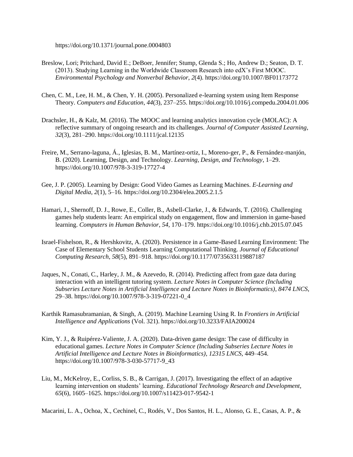https://doi.org/10.1371/journal.pone.0004803

- Breslow, Lori; Pritchard, David E.; DeBoer, Jennifer; Stump, Glenda S.; Ho, Andrew D.; Seaton, D. T. (2013). Studying Learning in the Worldwide Classroom Research into edX's First MOOC. *Environmental Psychology and Nonverbal Behavior*, *2*(4). https://doi.org/10.1007/BF01173772
- Chen, C. M., Lee, H. M., & Chen, Y. H. (2005). Personalized e-learning system using Item Response Theory. *Computers and Education*, *44*(3), 237–255. https://doi.org/10.1016/j.compedu.2004.01.006
- Drachsler, H., & Kalz, M. (2016). The MOOC and learning analytics innovation cycle (MOLAC): A reflective summary of ongoing research and its challenges. *Journal of Computer Assisted Learning*, *32*(3), 281–290. https://doi.org/10.1111/jcal.12135
- Freire, M., Serrano-laguna, Á., Iglesias, B. M., Martínez-ortiz, I., Moreno-ger, P., & Fernández-manjón, B. (2020). Learning, Design, and Technology. *Learning, Design, and Technology*, 1–29. https://doi.org/10.1007/978-3-319-17727-4
- Gee, J. P. (2005). Learning by Design: Good Video Games as Learning Machines. *E-Learning and Digital Media*, *2*(1), 5–16. https://doi.org/10.2304/elea.2005.2.1.5
- Hamari, J., Shernoff, D. J., Rowe, E., Coller, B., Asbell-Clarke, J., & Edwards, T. (2016). Challenging games help students learn: An empirical study on engagement, flow and immersion in game-based learning. *Computers in Human Behavior*, *54*, 170–179. https://doi.org/10.1016/j.chb.2015.07.045
- Israel-Fishelson, R., & Hershkovitz, A. (2020). Persistence in a Game-Based Learning Environment: The Case of Elementary School Students Learning Computational Thinking. *Journal of Educational Computing Research*, *58*(5), 891–918. https://doi.org/10.1177/0735633119887187
- Jaques, N., Conati, C., Harley, J. M., & Azevedo, R. (2014). Predicting affect from gaze data during interaction with an intelligent tutoring system. *Lecture Notes in Computer Science (Including Subseries Lecture Notes in Artificial Intelligence and Lecture Notes in Bioinformatics)*, *8474 LNCS*, 29–38. https://doi.org/10.1007/978-3-319-07221-0\_4
- Karthik Ramasubramanian, & Singh, A. (2019). Machine Learning Using R. In *Frontiers in Artificial Intelligence and Applications* (Vol. 321). https://doi.org/10.3233/FAIA200024
- Kim, Y. J., & Ruipérez-Valiente, J. A. (2020). Data-driven game design: The case of difficulty in educational games. *Lecture Notes in Computer Science (Including Subseries Lecture Notes in Artificial Intelligence and Lecture Notes in Bioinformatics)*, *12315 LNCS*, 449–454. https://doi.org/10.1007/978-3-030-57717-9\_43
- Liu, M., McKelroy, E., Corliss, S. B., & Carrigan, J. (2017). Investigating the effect of an adaptive learning intervention on students' learning. *Educational Technology Research and Development*, *65*(6), 1605–1625. https://doi.org/10.1007/s11423-017-9542-1

Macarini, L. A., Ochoa, X., Cechinel, C., Rodés, V., Dos Santos, H. L., Alonso, G. E., Casas, A. P., &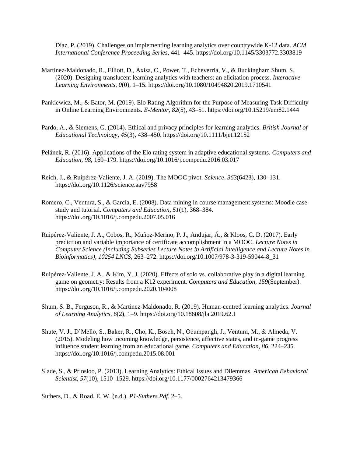Díaz, P. (2019). Challenges on implementing learning analytics over countrywide K-12 data. *ACM International Conference Proceeding Series*, 441–445. https://doi.org/10.1145/3303772.3303819

- Martinez-Maldonado, R., Elliott, D., Axisa, C., Power, T., Echeverria, V., & Buckingham Shum, S. (2020). Designing translucent learning analytics with teachers: an elicitation process. *Interactive Learning Environments*, *0*(0), 1–15. https://doi.org/10.1080/10494820.2019.1710541
- Pankiewicz, M., & Bator, M. (2019). Elo Rating Algorithm for the Purpose of Measuring Task Difficulty in Online Learning Environments. *E-Mentor*, *82*(5), 43–51. https://doi.org/10.15219/em82.1444
- Pardo, A., & Siemens, G. (2014). Ethical and privacy principles for learning analytics. *British Journal of Educational Technology*, *45*(3), 438–450. https://doi.org/10.1111/bjet.12152
- Pelánek, R. (2016). Applications of the Elo rating system in adaptive educational systems. *Computers and Education*, *98*, 169–179. https://doi.org/10.1016/j.compedu.2016.03.017
- Reich, J., & Ruipérez-Valiente, J. A. (2019). The MOOC pivot. *Science*, *363*(6423), 130–131. https://doi.org/10.1126/science.aav7958
- Romero, C., Ventura, S., & García, E. (2008). Data mining in course management systems: Moodle case study and tutorial. *Computers and Education*, *51*(1), 368–384. https://doi.org/10.1016/j.compedu.2007.05.016
- Ruipérez-Valiente, J. A., Cobos, R., Muñoz-Merino, P. J., Andujar, Á., & Kloos, C. D. (2017). Early prediction and variable importance of certificate accomplishment in a MOOC. *Lecture Notes in Computer Science (Including Subseries Lecture Notes in Artificial Intelligence and Lecture Notes in Bioinformatics)*, *10254 LNCS*, 263–272. https://doi.org/10.1007/978-3-319-59044-8\_31
- Ruipérez-Valiente, J. A., & Kim, Y. J. (2020). Effects of solo vs. collaborative play in a digital learning game on geometry: Results from a K12 experiment. *Computers and Education*, *159*(September). https://doi.org/10.1016/j.compedu.2020.104008
- Shum, S. B., Ferguson, R., & Martinez-Maldonado, R. (2019). Human-centred learning analytics. *Journal of Learning Analytics*, *6*(2), 1–9. https://doi.org/10.18608/jla.2019.62.1
- Shute, V. J., D'Mello, S., Baker, R., Cho, K., Bosch, N., Ocumpaugh, J., Ventura, M., & Almeda, V. (2015). Modeling how incoming knowledge, persistence, affective states, and in-game progress influence student learning from an educational game. *Computers and Education*, *86*, 224–235. https://doi.org/10.1016/j.compedu.2015.08.001
- Slade, S., & Prinsloo, P. (2013). Learning Analytics: Ethical Issues and Dilemmas. *American Behavioral Scientist*, *57*(10), 1510–1529. https://doi.org/10.1177/0002764213479366

Suthers, D., & Road, E. W. (n.d.). *P1-Suthers.Pdf*. 2–5.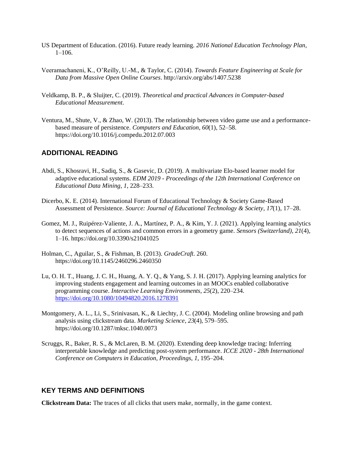- US Department of Education. (2016). Future ready learning. *2016 National Education Technology Plan*, 1–106.
- Veeramachaneni, K., O'Reilly, U.-M., & Taylor, C. (2014). *Towards Feature Engineering at Scale for Data from Massive Open Online Courses*. http://arxiv.org/abs/1407.5238
- Veldkamp, B. P., & Sluijter, C. (2019). *Theoretical and practical Advances in Computer-based Educational Measurement*.
- Ventura, M., Shute, V., & Zhao, W. (2013). The relationship between video game use and a performancebased measure of persistence. *Computers and Education*, *60*(1), 52–58. https://doi.org/10.1016/j.compedu.2012.07.003

#### **ADDITIONAL READING**

- Abdi, S., Khosravi, H., Sadiq, S., & Gasevic, D. (2019). A multivariate Elo-based learner model for adaptive educational systems. *EDM 2019 - Proceedings of the 12th International Conference on Educational Data Mining*, *1*, 228–233.
- Dicerbo, K. E. (2014). International Forum of Educational Technology & Society Game-Based Assessment of Persistence. *Source: Journal of Educational Technology & Society*, *17*(1), 17–28.
- Gomez, M. J., Ruipérez-Valiente, J. A., Martínez, P. A., & Kim, Y. J. (2021). Applying learning analytics to detect sequences of actions and common errors in a geometry game. *Sensors (Switzerland)*, *21*(4), 1–16. https://doi.org/10.3390/s21041025
- Holman, C., Aguilar, S., & Fishman, B. (2013). *GradeCraft*. 260. https://doi.org/10.1145/2460296.2460350
- Lu, O. H. T., Huang, J. C. H., Huang, A. Y. Q., & Yang, S. J. H. (2017). Applying learning analytics for improving students engagement and learning outcomes in an MOOCs enabled collaborative programming course. *Interactive Learning Environments*, *25*(2), 220–234. <https://doi.org/10.1080/10494820.2016.1278391>
- Montgomery, A. L., Li, S., Srinivasan, K., & Liechty, J. C. (2004). Modeling online browsing and path analysis using clickstream data. *Marketing Science*, *23*(4), 579–595. https://doi.org/10.1287/mksc.1040.0073
- Scruggs, R., Baker, R. S., & McLaren, B. M. (2020). Extending deep knowledge tracing: Inferring interpretable knowledge and predicting post-system performance. *ICCE 2020 - 28th International Conference on Computers in Education, Proceedings*, *1*, 195–204.

#### **KEY TERMS AND DEFINITIONS**

**Clickstream Data:** The traces of all clicks that users make, normally, in the game context.